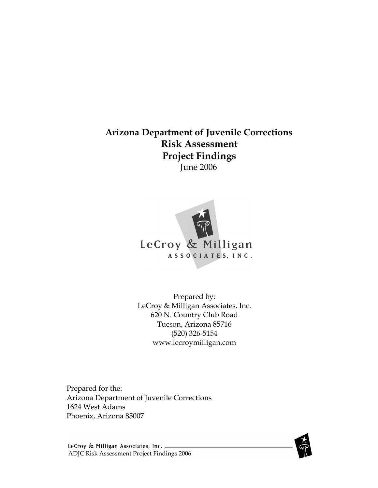### Arizona Department of Juvenile Corrections Risk Assessment Project Findings June 2006



Prepared by: LeCroy & Milligan Associates, Inc. 620 N. Country Club Road Tucson, Arizona 85716 (520) 326-5154 www.lecroymilligan.com

Prepared for the: Arizona Department of Juvenile Corrections 1624 West Adams Phoenix, Arizona 85007



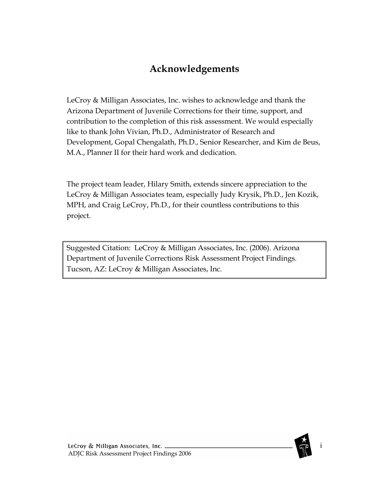# Acknowledgements

LeCroy & Milligan Associates, Inc. wishes to acknowledge and thank the Arizona Department of Juvenile Corrections for their time, support, and contribution to the completion of this risk assessment. We would especially like to thank John Vivian, Ph.D., Administrator of Research and Development, Gopal Chengalath, Ph.D., Senior Researcher, and Kim de Beus, M.A., Planner II for their hard work and dedication.

The project team leader, Hilary Smith, extends sincere appreciation to the LeCroy & Milligan Associates team, especially Judy Krysik, Ph.D., Jen Kozik, MPH, and Craig LeCroy, Ph.D., for their countless contributions to this project.

Suggested Citation: LeCroy & Milligan Associates, Inc. (2006). Arizona Department of Juvenile Corrections Risk Assessment Project Findings. Tucson, AZ: LeCroy & Milligan Associates, Inc.

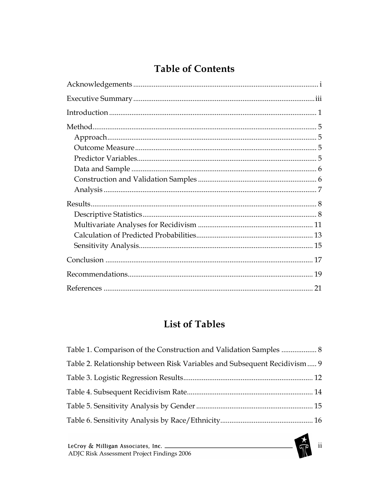# **Table of Contents**

# **List of Tables**

| Table 1. Comparison of the Construction and Validation Samples  8        |  |
|--------------------------------------------------------------------------|--|
| Table 2. Relationship between Risk Variables and Subsequent Recidivism 9 |  |
|                                                                          |  |
|                                                                          |  |
|                                                                          |  |
|                                                                          |  |

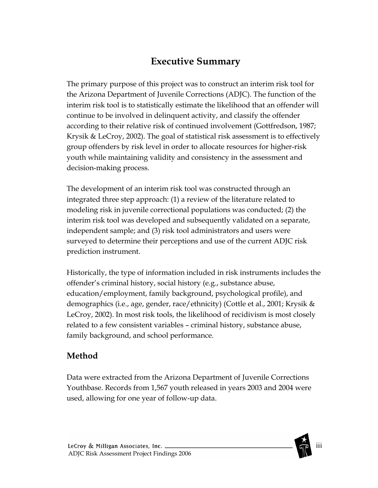# Executive Summary

The primary purpose of this project was to construct an interim risk tool for the Arizona Department of Juvenile Corrections (ADJC). The function of the interim risk tool is to statistically estimate the likelihood that an offender will continue to be involved in delinquent activity, and classify the offender according to their relative risk of continued involvement (Gottfredson, 1987; Krysik & LeCroy, 2002). The goal of statistical risk assessment is to effectively group offenders by risk level in order to allocate resources for higher-risk youth while maintaining validity and consistency in the assessment and decision-making process.

The development of an interim risk tool was constructed through an integrated three step approach: (1) a review of the literature related to modeling risk in juvenile correctional populations was conducted; (2) the interim risk tool was developed and subsequently validated on a separate, independent sample; and (3) risk tool administrators and users were surveyed to determine their perceptions and use of the current ADJC risk prediction instrument.

Historically, the type of information included in risk instruments includes the offender's criminal history, social history (e.g., substance abuse, education/employment, family background, psychological profile), and demographics (i.e., age, gender, race/ethnicity) (Cottle et al., 2001; Krysik & LeCroy, 2002). In most risk tools, the likelihood of recidivism is most closely related to a few consistent variables – criminal history, substance abuse, family background, and school performance.

### Method

Data were extracted from the Arizona Department of Juvenile Corrections Youthbase. Records from 1,567 youth released in years 2003 and 2004 were used, allowing for one year of follow-up data.

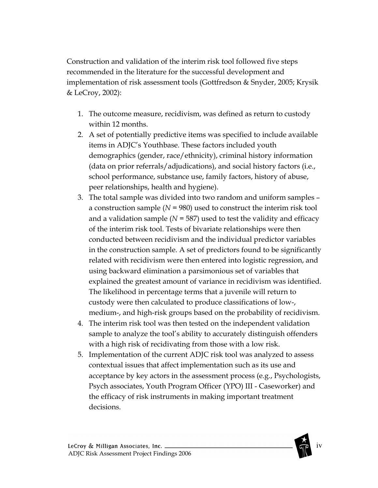Construction and validation of the interim risk tool followed five steps recommended in the literature for the successful development and implementation of risk assessment tools (Gottfredson & Snyder, 2005; Krysik & LeCroy, 2002):

- 1. The outcome measure, recidivism, was defined as return to custody within 12 months.
- 2. A set of potentially predictive items was specified to include available items in ADJC's Youthbase. These factors included youth demographics (gender, race/ethnicity), criminal history information (data on prior referrals/adjudications), and social history factors (i.e., school performance, substance use, family factors, history of abuse, peer relationships, health and hygiene).
- 3. The total sample was divided into two random and uniform samples a construction sample  $(N = 980)$  used to construct the interim risk tool and a validation sample ( $N = 587$ ) used to test the validity and efficacy of the interim risk tool. Tests of bivariate relationships were then conducted between recidivism and the individual predictor variables in the construction sample. A set of predictors found to be significantly related with recidivism were then entered into logistic regression, and using backward elimination a parsimonious set of variables that explained the greatest amount of variance in recidivism was identified. The likelihood in percentage terms that a juvenile will return to custody were then calculated to produce classifications of low-, medium-, and high-risk groups based on the probability of recidivism.
- 4. The interim risk tool was then tested on the independent validation sample to analyze the tool's ability to accurately distinguish offenders with a high risk of recidivating from those with a low risk.
- 5. Implementation of the current ADJC risk tool was analyzed to assess contextual issues that affect implementation such as its use and acceptance by key actors in the assessment process (e.g., Psychologists, Psych associates, Youth Program Officer (YPO) III - Caseworker) and the efficacy of risk instruments in making important treatment decisions.

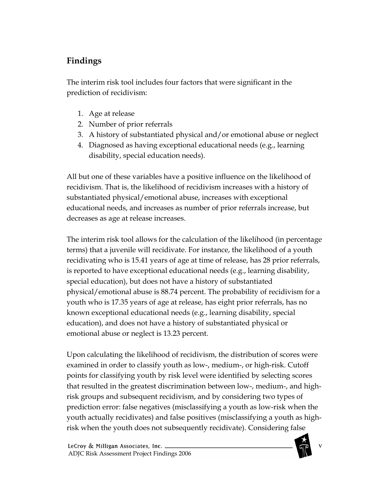# Findings

The interim risk tool includes four factors that were significant in the prediction of recidivism:

- 1. Age at release
- 2. Number of prior referrals
- 3. A history of substantiated physical and/or emotional abuse or neglect
- 4. Diagnosed as having exceptional educational needs (e.g., learning disability, special education needs).

All but one of these variables have a positive influence on the likelihood of recidivism. That is, the likelihood of recidivism increases with a history of substantiated physical/emotional abuse, increases with exceptional educational needs, and increases as number of prior referrals increase, but decreases as age at release increases.

The interim risk tool allows for the calculation of the likelihood (in percentage terms) that a juvenile will recidivate. For instance, the likelihood of a youth recidivating who is 15.41 years of age at time of release, has 28 prior referrals, is reported to have exceptional educational needs (e.g., learning disability, special education), but does not have a history of substantiated physical/emotional abuse is 88.74 percent. The probability of recidivism for a youth who is 17.35 years of age at release, has eight prior referrals, has no known exceptional educational needs (e.g., learning disability, special education), and does not have a history of substantiated physical or emotional abuse or neglect is 13.23 percent.

Upon calculating the likelihood of recidivism, the distribution of scores were examined in order to classify youth as low-, medium-, or high-risk. Cutoff points for classifying youth by risk level were identified by selecting scores that resulted in the greatest discrimination between low-, medium-, and highrisk groups and subsequent recidivism, and by considering two types of prediction error: false negatives (misclassifying a youth as low-risk when the youth actually recidivates) and false positives (misclassifying a youth as highrisk when the youth does not subsequently recidivate). Considering false

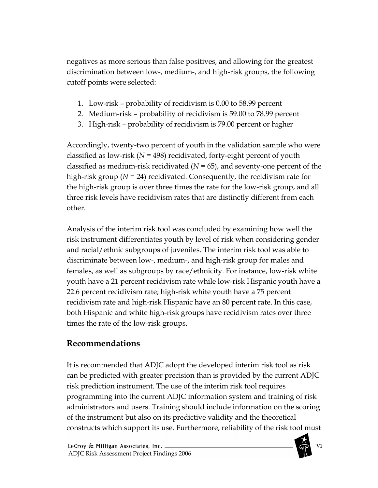negatives as more serious than false positives, and allowing for the greatest discrimination between low-, medium-, and high-risk groups, the following cutoff points were selected:

- 1. Low-risk probability of recidivism is 0.00 to 58.99 percent
- 2. Medium-risk probability of recidivism is 59.00 to 78.99 percent
- 3. High-risk probability of recidivism is 79.00 percent or higher

Accordingly, twenty-two percent of youth in the validation sample who were classified as low-risk ( $N = 498$ ) recidivated, forty-eight percent of youth classified as medium-risk recidivated  $(N = 65)$ , and seventy-one percent of the high-risk group ( $N = 24$ ) recidivated. Consequently, the recidivism rate for the high-risk group is over three times the rate for the low-risk group, and all three risk levels have recidivism rates that are distinctly different from each other.

Analysis of the interim risk tool was concluded by examining how well the risk instrument differentiates youth by level of risk when considering gender and racial/ethnic subgroups of juveniles. The interim risk tool was able to discriminate between low-, medium-, and high-risk group for males and females, as well as subgroups by race/ethnicity. For instance, low-risk white youth have a 21 percent recidivism rate while low-risk Hispanic youth have a 22.6 percent recidivism rate; high-risk white youth have a 75 percent recidivism rate and high-risk Hispanic have an 80 percent rate. In this case, both Hispanic and white high-risk groups have recidivism rates over three times the rate of the low-risk groups.

## Recommendations

It is recommended that ADJC adopt the developed interim risk tool as risk can be predicted with greater precision than is provided by the current ADJC risk prediction instrument. The use of the interim risk tool requires programming into the current ADJC information system and training of risk administrators and users. Training should include information on the scoring of the instrument but also on its predictive validity and the theoretical constructs which support its use. Furthermore, reliability of the risk tool must

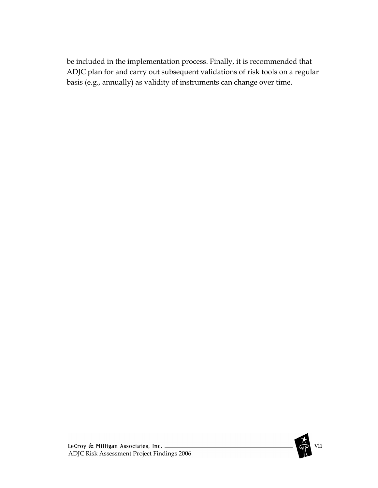be included in the implementation process. Finally, it is recommended that ADJC plan for and carry out subsequent validations of risk tools on a regular basis (e.g., annually) as validity of instruments can change over time.

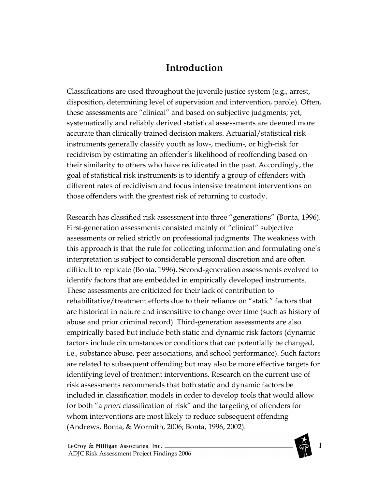## Introduction

Classifications are used throughout the juvenile justice system (e.g., arrest, disposition, determining level of supervision and intervention, parole). Often, these assessments are "clinical" and based on subjective judgments; yet, systematically and reliably derived statistical assessments are deemed more accurate than clinically trained decision makers. Actuarial/statistical risk instruments generally classify youth as low-, medium-, or high-risk for recidivism by estimating an offender's likelihood of reoffending based on their similarity to others who have recidivated in the past. Accordingly, the goal of statistical risk instruments is to identify a group of offenders with different rates of recidivism and focus intensive treatment interventions on those offenders with the greatest risk of returning to custody.

Research has classified risk assessment into three "generations" (Bonta, 1996). First-generation assessments consisted mainly of "clinical" subjective assessments or relied strictly on professional judgments. The weakness with this approach is that the rule for collecting information and formulating one's interpretation is subject to considerable personal discretion and are often difficult to replicate (Bonta, 1996). Second-generation assessments evolved to identify factors that are embedded in empirically developed instruments. These assessments are criticized for their lack of contribution to rehabilitative/treatment efforts due to their reliance on "static" factors that are historical in nature and insensitive to change over time (such as history of abuse and prior criminal record). Third-generation assessments are also empirically based but include both static and dynamic risk factors (dynamic factors include circumstances or conditions that can potentially be changed, i.e., substance abuse, peer associations, and school performance). Such factors are related to subsequent offending but may also be more effective targets for identifying level of treatment interventions. Research on the current use of risk assessments recommends that both static and dynamic factors be included in classification models in order to develop tools that would allow for both "a priori classification of risk" and the targeting of offenders for whom interventions are most likely to reduce subsequent offending (Andrews, Bonta, & Wormith, 2006; Bonta, 1996, 2002).

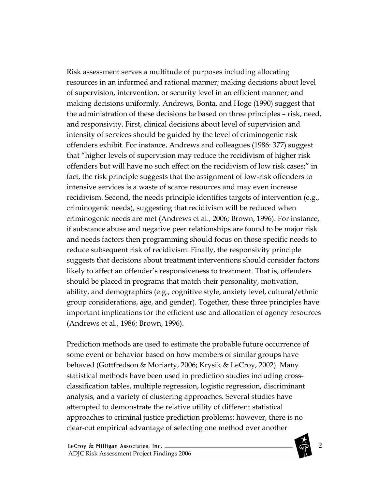Risk assessment serves a multitude of purposes including allocating resources in an informed and rational manner; making decisions about level of supervision, intervention, or security level in an efficient manner; and making decisions uniformly. Andrews, Bonta, and Hoge (1990) suggest that the administration of these decisions be based on three principles – risk, need, and responsivity. First, clinical decisions about level of supervision and intensity of services should be guided by the level of criminogenic risk offenders exhibit. For instance, Andrews and colleagues (1986: 377) suggest that "higher levels of supervision may reduce the recidivism of higher risk offenders but will have no such effect on the recidivism of low risk cases;" in fact, the risk principle suggests that the assignment of low-risk offenders to intensive services is a waste of scarce resources and may even increase recidivism. Second, the needs principle identifies targets of intervention (e.g., criminogenic needs), suggesting that recidivism will be reduced when criminogenic needs are met (Andrews et al., 2006; Brown, 1996). For instance, if substance abuse and negative peer relationships are found to be major risk and needs factors then programming should focus on those specific needs to reduce subsequent risk of recidivism. Finally, the responsivity principle suggests that decisions about treatment interventions should consider factors likely to affect an offender's responsiveness to treatment. That is, offenders should be placed in programs that match their personality, motivation, ability, and demographics (e.g., cognitive style, anxiety level, cultural/ethnic group considerations, age, and gender). Together, these three principles have important implications for the efficient use and allocation of agency resources (Andrews et al., 1986; Brown, 1996).

Prediction methods are used to estimate the probable future occurrence of some event or behavior based on how members of similar groups have behaved (Gottfredson & Moriarty, 2006; Krysik & LeCroy, 2002). Many statistical methods have been used in prediction studies including crossclassification tables, multiple regression, logistic regression, discriminant analysis, and a variety of clustering approaches. Several studies have attempted to demonstrate the relative utility of different statistical approaches to criminal justice prediction problems; however, there is no clear-cut empirical advantage of selecting one method over another

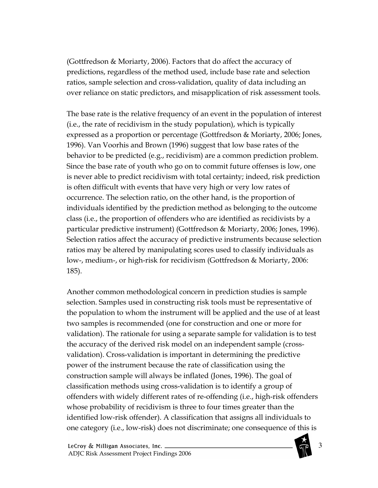(Gottfredson & Moriarty, 2006). Factors that do affect the accuracy of predictions, regardless of the method used, include base rate and selection ratios, sample selection and cross-validation, quality of data including an over reliance on static predictors, and misapplication of risk assessment tools.

The base rate is the relative frequency of an event in the population of interest (i.e., the rate of recidivism in the study population), which is typically expressed as a proportion or percentage (Gottfredson & Moriarty, 2006; Jones, 1996). Van Voorhis and Brown (1996) suggest that low base rates of the behavior to be predicted (e.g., recidivism) are a common prediction problem. Since the base rate of youth who go on to commit future offenses is low, one is never able to predict recidivism with total certainty; indeed, risk prediction is often difficult with events that have very high or very low rates of occurrence. The selection ratio, on the other hand, is the proportion of individuals identified by the prediction method as belonging to the outcome class (i.e., the proportion of offenders who are identified as recidivists by a particular predictive instrument) (Gottfredson & Moriarty, 2006; Jones, 1996). Selection ratios affect the accuracy of predictive instruments because selection ratios may be altered by manipulating scores used to classify individuals as low-, medium-, or high-risk for recidivism (Gottfredson & Moriarty, 2006: 185).

Another common methodological concern in prediction studies is sample selection. Samples used in constructing risk tools must be representative of the population to whom the instrument will be applied and the use of at least two samples is recommended (one for construction and one or more for validation). The rationale for using a separate sample for validation is to test the accuracy of the derived risk model on an independent sample (crossvalidation). Cross-validation is important in determining the predictive power of the instrument because the rate of classification using the construction sample will always be inflated (Jones, 1996). The goal of classification methods using cross-validation is to identify a group of offenders with widely different rates of re-offending (i.e., high-risk offenders whose probability of recidivism is three to four times greater than the identified low-risk offender). A classification that assigns all individuals to one category (i.e., low-risk) does not discriminate; one consequence of this is

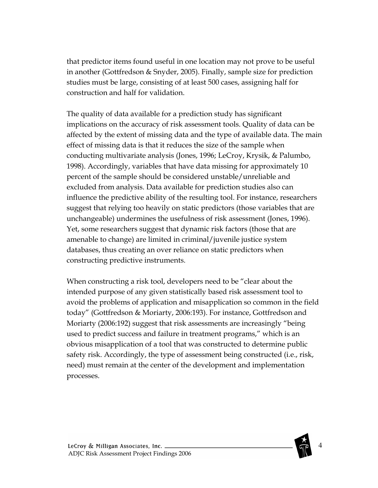that predictor items found useful in one location may not prove to be useful in another (Gottfredson & Snyder, 2005). Finally, sample size for prediction studies must be large, consisting of at least 500 cases, assigning half for construction and half for validation.

The quality of data available for a prediction study has significant implications on the accuracy of risk assessment tools. Quality of data can be affected by the extent of missing data and the type of available data. The main effect of missing data is that it reduces the size of the sample when conducting multivariate analysis (Jones, 1996; LeCroy, Krysik, & Palumbo, 1998). Accordingly, variables that have data missing for approximately 10 percent of the sample should be considered unstable/unreliable and excluded from analysis. Data available for prediction studies also can influence the predictive ability of the resulting tool. For instance, researchers suggest that relying too heavily on static predictors (those variables that are unchangeable) undermines the usefulness of risk assessment (Jones, 1996). Yet, some researchers suggest that dynamic risk factors (those that are amenable to change) are limited in criminal/juvenile justice system databases, thus creating an over reliance on static predictors when constructing predictive instruments.

When constructing a risk tool, developers need to be "clear about the intended purpose of any given statistically based risk assessment tool to avoid the problems of application and misapplication so common in the field today" (Gottfredson & Moriarty, 2006:193). For instance, Gottfredson and Moriarty (2006:192) suggest that risk assessments are increasingly "being used to predict success and failure in treatment programs," which is an obvious misapplication of a tool that was constructed to determine public safety risk. Accordingly, the type of assessment being constructed (i.e., risk, need) must remain at the center of the development and implementation processes.

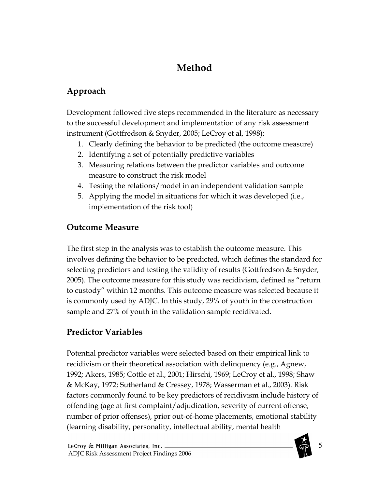# Method

## Approach

Development followed five steps recommended in the literature as necessary to the successful development and implementation of any risk assessment instrument (Gottfredson & Snyder, 2005; LeCroy et al, 1998):

- 1. Clearly defining the behavior to be predicted (the outcome measure)
- 2. Identifying a set of potentially predictive variables
- 3. Measuring relations between the predictor variables and outcome measure to construct the risk model
- 4. Testing the relations/model in an independent validation sample
- 5. Applying the model in situations for which it was developed (i.e., implementation of the risk tool)

#### Outcome Measure

The first step in the analysis was to establish the outcome measure. This involves defining the behavior to be predicted, which defines the standard for selecting predictors and testing the validity of results (Gottfredson & Snyder, 2005). The outcome measure for this study was recidivism, defined as "return to custody" within 12 months. This outcome measure was selected because it is commonly used by ADJC. In this study, 29% of youth in the construction sample and 27% of youth in the validation sample recidivated.

### Predictor Variables

Potential predictor variables were selected based on their empirical link to recidivism or their theoretical association with delinquency (e.g., Agnew, 1992; Akers, 1985; Cottle et al., 2001; Hirschi, 1969; LeCroy et al., 1998; Shaw & McKay, 1972; Sutherland & Cressey, 1978; Wasserman et al., 2003). Risk factors commonly found to be key predictors of recidivism include history of offending (age at first complaint/adjudication, severity of current offense, number of prior offenses), prior out-of-home placements, emotional stability (learning disability, personality, intellectual ability, mental health

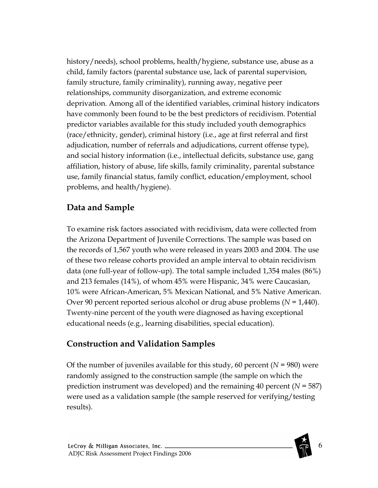history/needs), school problems, health/hygiene, substance use, abuse as a child, family factors (parental substance use, lack of parental supervision, family structure, family criminality), running away, negative peer relationships, community disorganization, and extreme economic deprivation. Among all of the identified variables, criminal history indicators have commonly been found to be the best predictors of recidivism. Potential predictor variables available for this study included youth demographics (race/ethnicity, gender), criminal history (i.e., age at first referral and first adjudication, number of referrals and adjudications, current offense type), and social history information (i.e., intellectual deficits, substance use, gang affiliation, history of abuse, life skills, family criminality, parental substance use, family financial status, family conflict, education/employment, school problems, and health/hygiene).

### Data and Sample

To examine risk factors associated with recidivism, data were collected from the Arizona Department of Juvenile Corrections. The sample was based on the records of 1,567 youth who were released in years 2003 and 2004. The use of these two release cohorts provided an ample interval to obtain recidivism data (one full-year of follow-up). The total sample included 1,354 males (86%) and 213 females (14%), of whom 45% were Hispanic, 34% were Caucasian, 10% were African-American, 5% Mexican National, and 5% Native American. Over 90 percent reported serious alcohol or drug abuse problems  $(N = 1,440)$ . Twenty-nine percent of the youth were diagnosed as having exceptional educational needs (e.g., learning disabilities, special education).

### Construction and Validation Samples

Of the number of juveniles available for this study, 60 percent ( $N = 980$ ) were randomly assigned to the construction sample (the sample on which the prediction instrument was developed) and the remaining 40 percent ( $N = 587$ ) were used as a validation sample (the sample reserved for verifying/testing results).

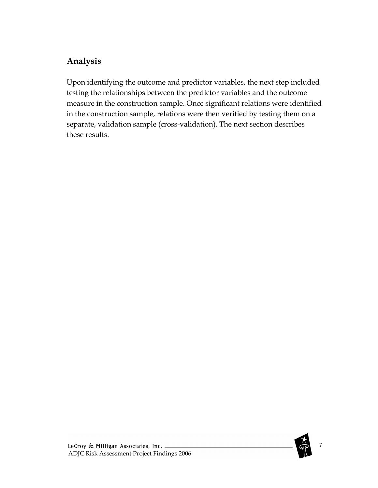### Analysis

Upon identifying the outcome and predictor variables, the next step included testing the relationships between the predictor variables and the outcome measure in the construction sample. Once significant relations were identified in the construction sample, relations were then verified by testing them on a separate, validation sample (cross-validation). The next section describes these results.

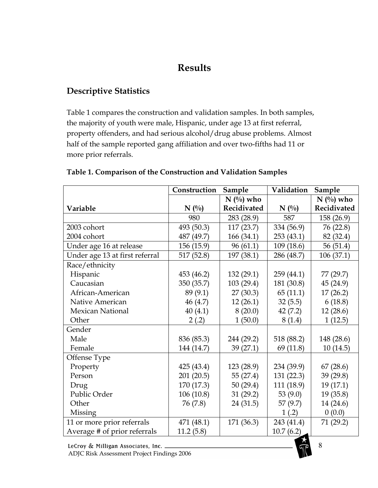## Results

#### Descriptive Statistics

Table 1 compares the construction and validation samples. In both samples, the majority of youth were male, Hispanic, under age 13 at first referral, property offenders, and had serious alcohol/drug abuse problems. Almost half of the sample reported gang affiliation and over two-fifths had 11 or more prior referrals.

|                                | Construction | Sample      | Validation | Sample      |
|--------------------------------|--------------|-------------|------------|-------------|
|                                |              | $N($ %) who |            | $N$ (%) who |
| Variable                       | $N($ %)      | Recidivated | $N($ %)    | Recidivated |
|                                | 980          | 283 (28.9)  | 587        | 158 (26.9)  |
| 2003 cohort                    | 493 (50.3)   | 117(23.7)   | 334 (56.9) | 76 (22.8)   |
| 2004 cohort                    | 487 (49.7)   | 166 (34.1)  | 253(43.1)  | 82 (32.4)   |
| Under age 16 at release        | 156 (15.9)   | 96(61.1)    | 109 (18.6) | 56 (51.4)   |
| Under age 13 at first referral | 517 (52.8)   | 197 (38.1)  | 286 (48.7) | 106(37.1)   |
| Race/ethnicity                 |              |             |            |             |
| Hispanic                       | 453 (46.2)   | 132(29.1)   | 259 (44.1) | 77 (29.7)   |
| Caucasian                      | 350 (35.7)   | 103 (29.4)  | 181 (30.8) | 45 (24.9)   |
| African-American               | 89 (9.1)     | 27(30.3)    | 65(11.1)   | 17(26.2)    |
| Native American                | 46(4.7)      | 12(26.1)    | 32(5.5)    | 6(18.8)     |
| <b>Mexican National</b>        | 40(4.1)      | 8(20.0)     | 42(7.2)    | 12(28.6)    |
| Other                          | 2(.2)        | 1(50.0)     | 8(1.4)     | 1(12.5)     |
| Gender                         |              |             |            |             |
| Male                           | 836 (85.3)   | 244 (29.2)  | 518 (88.2) | 148 (28.6)  |
| Female                         | 144 (14.7)   | 39(27.1)    | 69 (11.8)  | 10(14.5)    |
| Offense Type                   |              |             |            |             |
| Property                       | 425 (43.4)   | 123 (28.9)  | 234 (39.9) | 67(28.6)    |
| Person                         | 201 (20.5)   | 55 (27.4)   | 131 (22.3) | 39 (29.8)   |
| Drug                           | 170 (17.3)   | 50(29.4)    | 111 (18.9) | 19(17.1)    |
| Public Order                   | 106(10.8)    | 31(29.2)    | 53 $(9.0)$ | 19(35.8)    |
| Other                          | 76 (7.8)     | 24 (31.5)   | 57(9.7)    | 14 (24.6)   |
| Missing                        |              |             | 1(.2)      | 0(0.0)      |
| 11 or more prior referrals     | 471 (48.1)   | 171 (36.3)  | 243 (41.4) | 71 (29.2)   |
| Average # of prior referrals   | 11.2(5.8)    |             | 10.7(6.2)  |             |

#### Table 1. Comparison of the Construction and Validation Samples

LeCroy & Milligan Associates, Inc. \_

ADJC Risk Assessment Project Findings 2006

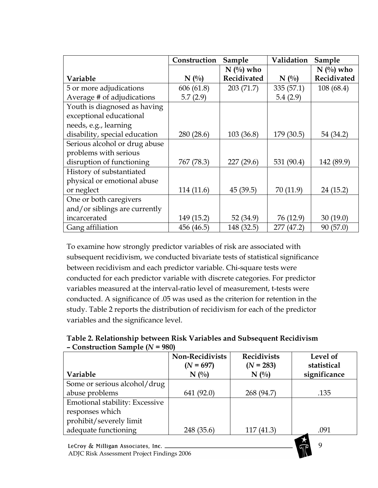|                               | Construction | Sample      | Validation | Sample      |
|-------------------------------|--------------|-------------|------------|-------------|
|                               |              | $N$ (%) who |            | $N$ (%) who |
| Variable                      | $N($ %)      | Recidivated | $N($ %)    | Recidivated |
| 5 or more adjudications       | 606(61.8)    | 203 (71.7)  | 335(57.1)  | 108 (68.4)  |
| Average # of adjudications    | 5.7(2.9)     |             | 5.4(2.9)   |             |
| Youth is diagnosed as having  |              |             |            |             |
| exceptional educational       |              |             |            |             |
| needs, e.g., learning         |              |             |            |             |
| disability, special education | 280 (28.6)   | 103(36.8)   | 179 (30.5) | 54 (34.2)   |
| Serious alcohol or drug abuse |              |             |            |             |
| problems with serious         |              |             |            |             |
| disruption of functioning     | 767 (78.3)   | 227(29.6)   | 531 (90.4) | 142 (89.9)  |
| History of substantiated      |              |             |            |             |
| physical or emotional abuse   |              |             |            |             |
| or neglect                    | 114 (11.6)   | 45(39.5)    | 70(11.9)   | 24 (15.2)   |
| One or both caregivers        |              |             |            |             |
| and/or siblings are currently |              |             |            |             |
| incarcerated                  | 149 (15.2)   | 52 (34.9)   | 76 (12.9)  | 30(19.0)    |
| Gang affiliation              | 456 (46.5)   | 148 (32.5)  | 277 (47.2) | 90(57.0)    |

To examine how strongly predictor variables of risk are associated with subsequent recidivism, we conducted bivariate tests of statistical significance between recidivism and each predictor variable. Chi-square tests were conducted for each predictor variable with discrete categories. For predictor variables measured at the interval-ratio level of measurement, t-tests were conducted. A significance of .05 was used as the criterion for retention in the study. Table 2 reports the distribution of recidivism for each of the predictor variables and the significance level.

Table 2. Relationship between Risk Variables and Subsequent Recidivism  $-$  Construction Sample ( $N = 980$ )

|                                       | <b>Non-Recidivists</b> | <b>Recidivists</b> | Level of     |
|---------------------------------------|------------------------|--------------------|--------------|
|                                       | $(N = 697)$            | $(N = 283)$        | statistical  |
| Variable                              | $N($ %)                | $N($ %)            | significance |
| Some or serious alcohol/drug          |                        |                    |              |
| abuse problems                        | 641(92.0)              | 268 (94.7)         | .135         |
| <b>Emotional stability: Excessive</b> |                        |                    |              |
| responses which                       |                        |                    |              |
| prohibit/severely limit               |                        |                    |              |
| adequate functioning                  | 248 (35.6)             | 117(41.3)          | .091         |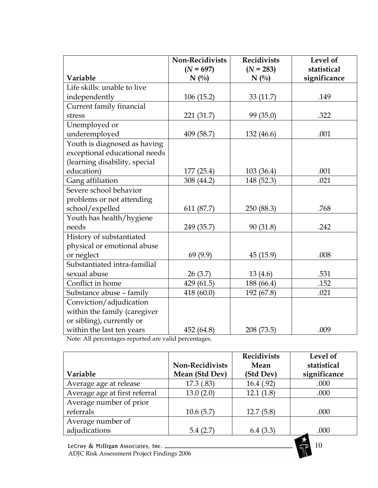|                               | <b>Non-Recidivists</b> | <b>Recidivists</b>     | Level of                    |
|-------------------------------|------------------------|------------------------|-----------------------------|
| Variable                      | $(N = 697)$<br>$N($ %) | $(N = 283)$<br>$N($ %) | statistical<br>significance |
| Life skills: unable to live   |                        |                        |                             |
| independently                 | 106(15.2)              | 33(11.7)               | .149                        |
| Current family financial      |                        |                        |                             |
| stress                        | 221 (31.7)             | 99 (35.0)              | .322                        |
| Unemployed or                 |                        |                        |                             |
| underemployed                 | 409 (58.7)             | 132 (46.6)             | .001                        |
| Youth is diagnosed as having  |                        |                        |                             |
| exceptional educational needs |                        |                        |                             |
| (learning disability, special |                        |                        |                             |
| education)                    | 177(25.4)              | 103 (36.4)             | .001                        |
| Gang affiliation              | 308 (44.2)             | 148 (52.3)             | .021                        |
| Severe school behavior        |                        |                        |                             |
| problems or not attending     |                        |                        |                             |
| school/expelled               | 611 (87.7)             | 250 (88.3)             | .768                        |
| Youth has health/hygiene      |                        |                        |                             |
| needs                         | 249 (35.7)             | 90(31.8)               | .242                        |
| History of substantiated      |                        |                        |                             |
| physical or emotional abuse   |                        |                        |                             |
| or neglect                    | 69(9.9)                | 45 (15.9)              | .008                        |
| Substantiated intra-familial  |                        |                        |                             |
| sexual abuse                  | 26(3.7)                | 13(4.6)                | .531                        |
| Conflict in home              | 429(61.5)              | 188 (66.4)             | .152                        |
| Substance abuse - family      | 418 (60.0)             | 192 (67.8)             | .021                        |
| Conviction/adjudication       |                        |                        |                             |
| within the family (caregiver  |                        |                        |                             |
| or sibling), currently or     |                        |                        |                             |
| within the last ten years     | 452 (64.8)             | 208 (73.5)             | .009                        |

Note: All percentages reported are valid percentages.

|                               |                        | <b>Recidivists</b> | Level of     |
|-------------------------------|------------------------|--------------------|--------------|
|                               | <b>Non-Recidivists</b> | Mean               | statistical  |
| Variable                      | Mean (Std Dev)         | (Std Dev)          | significance |
| Average age at release        | 17.3(0.83)             | 16.4(.92)          | .000         |
| Average age at first referral | 13.0(2.0)              | 12.1(1.8)          | .000         |
| Average number of prior       |                        |                    |              |
| referrals                     | 10.6(5.7)              | 12.7(5.8)          | .000         |
| Average number of             |                        |                    |              |
| adjudications                 | 5.4(2.7)               | 6.4(3.3)           | .000         |

10

LeCroy & Milligan Associates, Inc. \_\_ ADJC Risk Assessment Project Findings 2006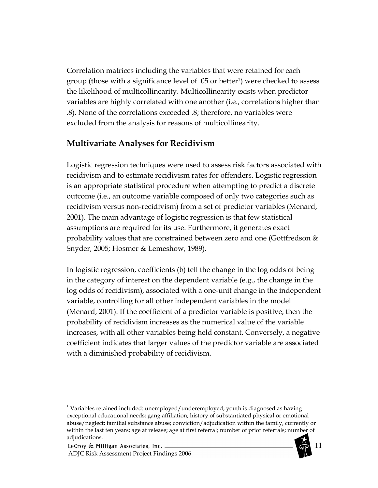Correlation matrices including the variables that were retained for each group (those with a significance level of .05 or better<sup>1</sup>) were checked to assess the likelihood of multicollinearity. Multicollinearity exists when predictor variables are highly correlated with one another (i.e., correlations higher than .8). None of the correlations exceeded .8; therefore, no variables were excluded from the analysis for reasons of multicollinearity.

#### Multivariate Analyses for Recidivism

Logistic regression techniques were used to assess risk factors associated with recidivism and to estimate recidivism rates for offenders. Logistic regression is an appropriate statistical procedure when attempting to predict a discrete outcome (i.e., an outcome variable composed of only two categories such as recidivism versus non-recidivism) from a set of predictor variables (Menard, 2001). The main advantage of logistic regression is that few statistical assumptions are required for its use. Furthermore, it generates exact probability values that are constrained between zero and one (Gottfredson  $&$ Snyder, 2005; Hosmer & Lemeshow, 1989).

In logistic regression, coefficients (b) tell the change in the log odds of being in the category of interest on the dependent variable (e.g., the change in the log odds of recidivism), associated with a one-unit change in the independent variable, controlling for all other independent variables in the model (Menard, 2001). If the coefficient of a predictor variable is positive, then the probability of recidivism increases as the numerical value of the variable increases, with all other variables being held constant. Conversely, a negative coefficient indicates that larger values of the predictor variable are associated with a diminished probability of recidivism.



 $\overline{a}$  $1$  Variables retained included: unemployed/underemployed; youth is diagnosed as having exceptional educational needs; gang affiliation; history of substantiated physical or emotional abuse/neglect; familial substance abuse; conviction/adjudication within the family, currently or within the last ten years; age at release; age at first referral; number of prior referrals; number of adjudications.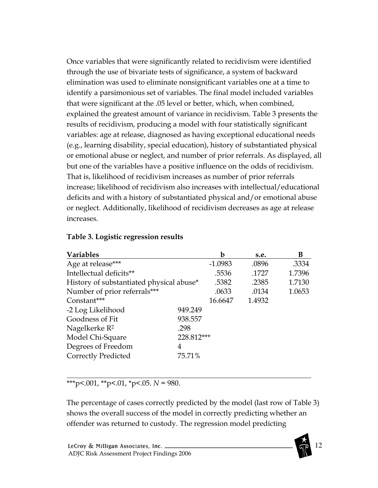Once variables that were significantly related to recidivism were identified through the use of bivariate tests of significance, a system of backward elimination was used to eliminate nonsignificant variables one at a time to identify a parsimonious set of variables. The final model included variables that were significant at the .05 level or better, which, when combined, explained the greatest amount of variance in recidivism. Table 3 presents the results of recidivism, producing a model with four statistically significant variables: age at release, diagnosed as having exceptional educational needs (e.g., learning disability, special education), history of substantiated physical or emotional abuse or neglect, and number of prior referrals. As displayed, all but one of the variables have a positive influence on the odds of recidivism. That is, likelihood of recidivism increases as number of prior referrals increase; likelihood of recidivism also increases with intellectual/educational deficits and with a history of substantiated physical and/or emotional abuse or neglect. Additionally, likelihood of recidivism decreases as age at release increases.

| <b>Variables</b>                         |            | b         | s.e.   | В      |
|------------------------------------------|------------|-----------|--------|--------|
| Age at release***                        |            | $-1.0983$ | .0896  | .3334  |
| Intellectual deficits**                  |            | .5536     | .1727  | 1.7396 |
| History of substantiated physical abuse* |            | .5382     | .2385  | 1.7130 |
| Number of prior referrals***             |            | .0633     | .0134  | 1.0653 |
| Constant***                              |            | 16.6647   | 1.4932 |        |
| -2 Log Likelihood                        | 949.249    |           |        |        |
| Goodness of Fit                          | 938.557    |           |        |        |
| Nagelkerke R <sup>2</sup>                | .298       |           |        |        |
| Model Chi-Square                         | 228.812*** |           |        |        |
| Degrees of Freedom<br>4                  |            |           |        |        |
| <b>Correctly Predicted</b>               | 75.71%     |           |        |        |

#### Table 3. Logistic regression results

l \*\*\*p<.001, \*\*p<.01, \*p<.05.  $N = 980$ .

The percentage of cases correctly predicted by the model (last row of Table 3) shows the overall success of the model in correctly predicting whether an offender was returned to custody. The regression model predicting

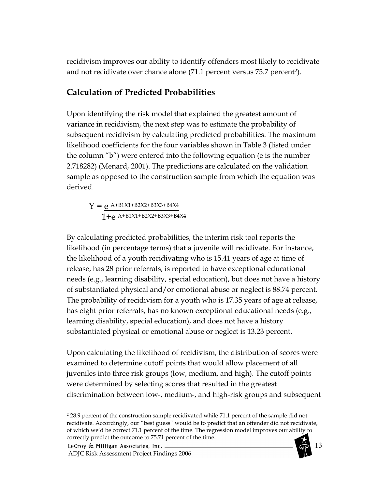recidivism improves our ability to identify offenders most likely to recidivate and not recidivate over chance alone (71.1 percent versus 75.7 percent<sup>2</sup>).

#### Calculation of Predicted Probabilities

Upon identifying the risk model that explained the greatest amount of variance in recidivism, the next step was to estimate the probability of subsequent recidivism by calculating predicted probabilities. The maximum likelihood coefficients for the four variables shown in Table 3 (listed under the column "b") were entered into the following equation (e is the number 2.718282) (Menard, 2001). The predictions are calculated on the validation sample as opposed to the construction sample from which the equation was derived.

 $Y = e^{A+B1X1+B2X2+B3X3+B4X4}$  $1+e$  A+B1X1+B2X2+B3X3+B4X4

By calculating predicted probabilities, the interim risk tool reports the likelihood (in percentage terms) that a juvenile will recidivate. For instance, the likelihood of a youth recidivating who is 15.41 years of age at time of release, has 28 prior referrals, is reported to have exceptional educational needs (e.g., learning disability, special education), but does not have a history of substantiated physical and/or emotional abuse or neglect is 88.74 percent. The probability of recidivism for a youth who is 17.35 years of age at release, has eight prior referrals, has no known exceptional educational needs (e.g., learning disability, special education), and does not have a history substantiated physical or emotional abuse or neglect is 13.23 percent.

Upon calculating the likelihood of recidivism, the distribution of scores were examined to determine cutoff points that would allow placement of all juveniles into three risk groups (low, medium, and high). The cutoff points were determined by selecting scores that resulted in the greatest discrimination between low-, medium-, and high-risk groups and subsequent

LeCroy & Milligan Associates, Inc. \_

 $\overline{a}$ 

ADJC Risk Assessment Project Findings 2006

<sup>2</sup> 28.9 percent of the construction sample recidivated while 71.1 percent of the sample did not recidivate. Accordingly, our "best guess" would be to predict that an offender did not recidivate, of which we'd be correct 71.1 percent of the time. The regression model improves our ability to correctly predict the outcome to 75.71 percent of the time.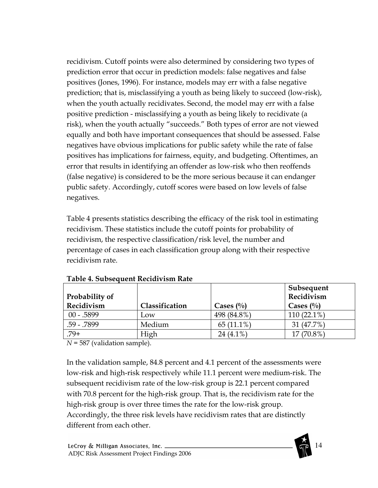recidivism. Cutoff points were also determined by considering two types of prediction error that occur in prediction models: false negatives and false positives (Jones, 1996). For instance, models may err with a false negative prediction; that is, misclassifying a youth as being likely to succeed (low-risk), when the youth actually recidivates. Second, the model may err with a false positive prediction - misclassifying a youth as being likely to recidivate (a risk), when the youth actually "succeeds." Both types of error are not viewed equally and both have important consequences that should be assessed. False negatives have obvious implications for public safety while the rate of false positives has implications for fairness, equity, and budgeting. Oftentimes, an error that results in identifying an offender as low-risk who then reoffends (false negative) is considered to be the more serious because it can endanger public safety. Accordingly, cutoff scores were based on low levels of false negatives.

Table 4 presents statistics describing the efficacy of the risk tool in estimating recidivism. These statistics include the cutoff points for probability of recidivism, the respective classification/risk level, the number and percentage of cases in each classification group along with their respective recidivism rate.

| Probability of |                |              | <b>Subsequent</b><br>Recidivism |
|----------------|----------------|--------------|---------------------------------|
| Recidivism     | Classification | Cases $(\%)$ | Cases $\binom{0}{0}$            |
| $00 - 5899$    | Low            | 498 (84.8%)  | $110(22.1\%)$                   |
| $.59 - .7899$  | Medium         | $65(11.1\%)$ | 31 (47.7%)                      |
| $.79+$         | High           | 24 $(4.1\%)$ | $17(70.8\%)$                    |

Table 4. Subsequent Recidivism Rate

 $N = 587$  (validation sample).

In the validation sample, 84.8 percent and 4.1 percent of the assessments were low-risk and high-risk respectively while 11.1 percent were medium-risk. The subsequent recidivism rate of the low-risk group is 22.1 percent compared with 70.8 percent for the high-risk group. That is, the recidivism rate for the high-risk group is over three times the rate for the low-risk group. Accordingly, the three risk levels have recidivism rates that are distinctly different from each other.

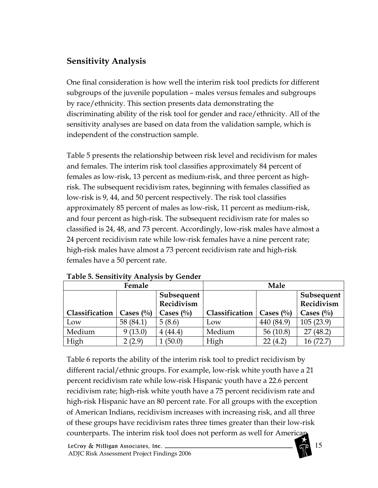#### Sensitivity Analysis

One final consideration is how well the interim risk tool predicts for different subgroups of the juvenile population – males versus females and subgroups by race/ethnicity. This section presents data demonstrating the discriminating ability of the risk tool for gender and race/ethnicity. All of the sensitivity analyses are based on data from the validation sample, which is independent of the construction sample.

Table 5 presents the relationship between risk level and recidivism for males and females. The interim risk tool classifies approximately 84 percent of females as low-risk, 13 percent as medium-risk, and three percent as highrisk. The subsequent recidivism rates, beginning with females classified as low-risk is 9, 44, and 50 percent respectively. The risk tool classifies approximately 85 percent of males as low-risk, 11 percent as medium-risk, and four percent as high-risk. The subsequent recidivism rate for males so classified is 24, 48, and 73 percent. Accordingly, low-risk males have almost a 24 percent recidivism rate while low-risk females have a nine percent rate; high-risk males have almost a 73 percent recidivism rate and high-risk females have a 50 percent rate.

| Female         |                      |                          |                | Male                 |                          |
|----------------|----------------------|--------------------------|----------------|----------------------|--------------------------|
|                |                      | Subsequent<br>Recidivism |                |                      | Subsequent<br>Recidivism |
| Classification | Cases $\binom{0}{0}$ | Cases $(\%)$             | Classification | Cases $\binom{0}{0}$ | Cases $\binom{0}{0}$     |
| Low            | 58 (84.1)            | 5(8.6)                   | Low            | 440 (84.9)           | 105(23.9)                |
| Medium         | 9(13.0)              | 4(44.4)                  | Medium         | 56 $(10.8)$          | (48.2)<br>27             |
| High           | 2(2.9)               | (50.0)                   | High           | 22(4.2)              | 16(72.7)                 |

Table 5. Sensitivity Analysis by Gender

Table 6 reports the ability of the interim risk tool to predict recidivism by different racial/ethnic groups. For example, low-risk white youth have a 21 percent recidivism rate while low-risk Hispanic youth have a 22.6 percent recidivism rate; high-risk white youth have a 75 percent recidivism rate and high-risk Hispanic have an 80 percent rate. For all groups with the exception of American Indians, recidivism increases with increasing risk, and all three of these groups have recidivism rates three times greater than their low-risk counterparts. The interim risk tool does not perform as well for American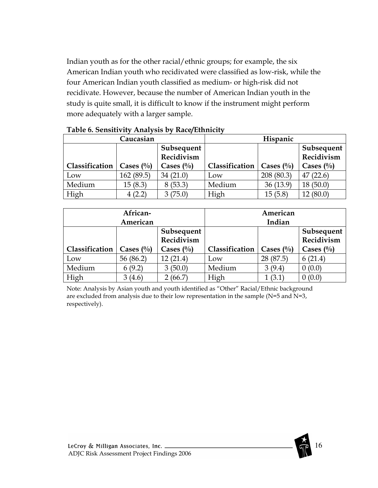Indian youth as for the other racial/ethnic groups; for example, the six American Indian youth who recidivated were classified as low-risk, while the four American Indian youth classified as medium- or high-risk did not recidivate. However, because the number of American Indian youth in the study is quite small, it is difficult to know if the instrument might perform more adequately with a larger sample.

|                | Caucasian            |                          |                | Hispanic     |                          |
|----------------|----------------------|--------------------------|----------------|--------------|--------------------------|
|                |                      | Subsequent<br>Recidivism |                |              | Subsequent<br>Recidivism |
| Classification | Cases $\binom{0}{0}$ | Cases $\binom{0}{0}$     | Classification | Cases $(\%)$ | Cases $(\%$              |
| Low            | 162 (89.5)           | 34(21.0)                 | LOW            | 208 (80.3)   | (22.6)<br>47             |
| Medium         | 15(8.3)              | 8(53.3)                  | Medium         | 36(13.9)     | 18(50.0)                 |
| High           | 4(2.2)               | 3(75.0)                  | High           | 15(5.8)      | 12(80.0)                 |

#### Table 6. Sensitivity Analysis by Race/Ethnicity

|                | African-<br>American |                          |                | American<br>Indian   |                          |
|----------------|----------------------|--------------------------|----------------|----------------------|--------------------------|
|                |                      | Subsequent<br>Recidivism |                |                      | Subsequent<br>Recidivism |
| Classification | Cases $\binom{0}{0}$ | Cases $(\%)$             | Classification | Cases $\binom{0}{0}$ | Cases $(\%)$             |
| Low            | 56 (86.2)            | 12(21.4)                 | Low            | 28 (87.5)            | 6(21.4)                  |
| Medium         | 6(9.2)               | 3(50.0)                  | Medium         | 3(9.4)               | 0(0.0)                   |
| High           | 3(4.6)               | 2(66.7)                  | High           | 1 (3.1               | 0(0.0)                   |

Note: Analysis by Asian youth and youth identified as "Other" Racial/Ethnic background are excluded from analysis due to their low representation in the sample (N=5 and N=3, respectively).

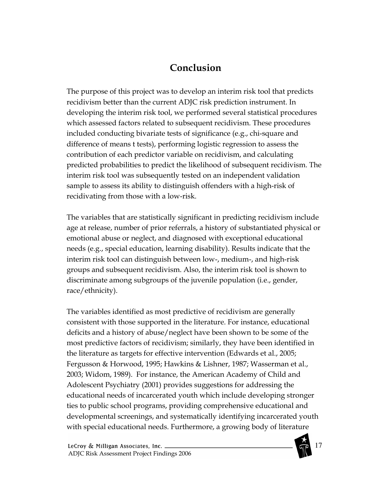# Conclusion

The purpose of this project was to develop an interim risk tool that predicts recidivism better than the current ADJC risk prediction instrument. In developing the interim risk tool, we performed several statistical procedures which assessed factors related to subsequent recidivism. These procedures included conducting bivariate tests of significance (e.g., chi-square and difference of means t tests), performing logistic regression to assess the contribution of each predictor variable on recidivism, and calculating predicted probabilities to predict the likelihood of subsequent recidivism. The interim risk tool was subsequently tested on an independent validation sample to assess its ability to distinguish offenders with a high-risk of recidivating from those with a low-risk.

The variables that are statistically significant in predicting recidivism include age at release, number of prior referrals, a history of substantiated physical or emotional abuse or neglect, and diagnosed with exceptional educational needs (e.g., special education, learning disability). Results indicate that the interim risk tool can distinguish between low-, medium-, and high-risk groups and subsequent recidivism. Also, the interim risk tool is shown to discriminate among subgroups of the juvenile population (i.e., gender, race/ethnicity).

The variables identified as most predictive of recidivism are generally consistent with those supported in the literature. For instance, educational deficits and a history of abuse/neglect have been shown to be some of the most predictive factors of recidivism; similarly, they have been identified in the literature as targets for effective intervention (Edwards et al., 2005; Fergusson & Horwood, 1995; Hawkins & Lishner, 1987; Wasserman et al., 2003; Widom, 1989). For instance, the American Academy of Child and Adolescent Psychiatry (2001) provides suggestions for addressing the educational needs of incarcerated youth which include developing stronger ties to public school programs, providing comprehensive educational and developmental screenings, and systematically identifying incarcerated youth with special educational needs. Furthermore, a growing body of literature

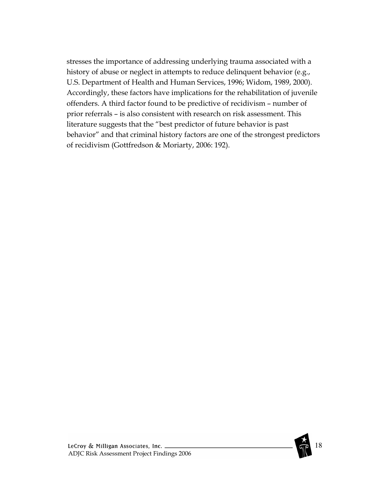stresses the importance of addressing underlying trauma associated with a history of abuse or neglect in attempts to reduce delinquent behavior (e.g., U.S. Department of Health and Human Services, 1996; Widom, 1989, 2000). Accordingly, these factors have implications for the rehabilitation of juvenile offenders. A third factor found to be predictive of recidivism – number of prior referrals – is also consistent with research on risk assessment. This literature suggests that the "best predictor of future behavior is past behavior" and that criminal history factors are one of the strongest predictors of recidivism (Gottfredson & Moriarty, 2006: 192).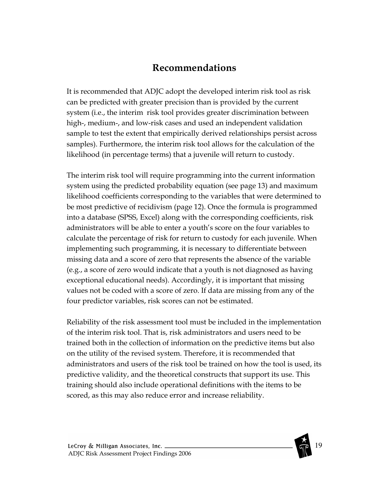## Recommendations

It is recommended that ADJC adopt the developed interim risk tool as risk can be predicted with greater precision than is provided by the current system (i.e., the interim risk tool provides greater discrimination between high-, medium-, and low-risk cases and used an independent validation sample to test the extent that empirically derived relationships persist across samples). Furthermore, the interim risk tool allows for the calculation of the likelihood (in percentage terms) that a juvenile will return to custody.

The interim risk tool will require programming into the current information system using the predicted probability equation (see page 13) and maximum likelihood coefficients corresponding to the variables that were determined to be most predictive of recidivism (page 12). Once the formula is programmed into a database (SPSS, Excel) along with the corresponding coefficients, risk administrators will be able to enter a youth's score on the four variables to calculate the percentage of risk for return to custody for each juvenile. When implementing such programming, it is necessary to differentiate between missing data and a score of zero that represents the absence of the variable (e.g., a score of zero would indicate that a youth is not diagnosed as having exceptional educational needs). Accordingly, it is important that missing values not be coded with a score of zero. If data are missing from any of the four predictor variables, risk scores can not be estimated.

Reliability of the risk assessment tool must be included in the implementation of the interim risk tool. That is, risk administrators and users need to be trained both in the collection of information on the predictive items but also on the utility of the revised system. Therefore, it is recommended that administrators and users of the risk tool be trained on how the tool is used, its predictive validity, and the theoretical constructs that support its use. This training should also include operational definitions with the items to be scored, as this may also reduce error and increase reliability.

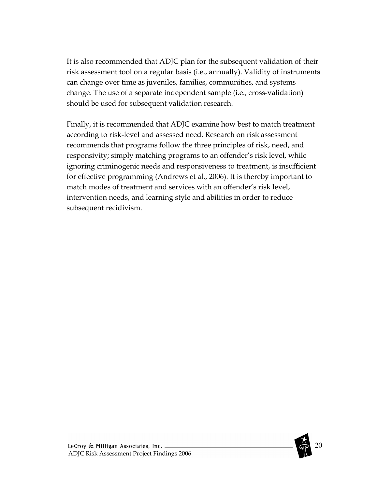It is also recommended that ADJC plan for the subsequent validation of their risk assessment tool on a regular basis (i.e., annually). Validity of instruments can change over time as juveniles, families, communities, and systems change. The use of a separate independent sample (i.e., cross-validation) should be used for subsequent validation research.

Finally, it is recommended that ADJC examine how best to match treatment according to risk-level and assessed need. Research on risk assessment recommends that programs follow the three principles of risk, need, and responsivity; simply matching programs to an offender's risk level, while ignoring criminogenic needs and responsiveness to treatment, is insufficient for effective programming (Andrews et al., 2006). It is thereby important to match modes of treatment and services with an offender's risk level, intervention needs, and learning style and abilities in order to reduce subsequent recidivism.

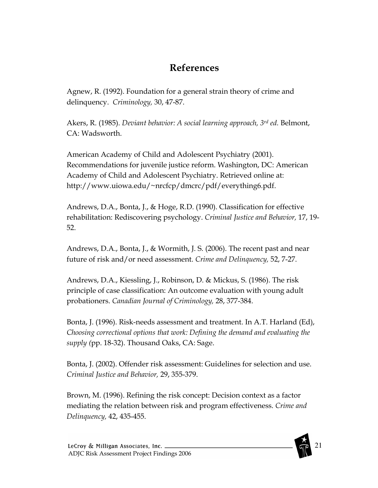# References

Agnew, R. (1992). Foundation for a general strain theory of crime and delinquency. Criminology, 30, 47-87.

Akers, R. (1985). Deviant behavior: A social learning approach, 3rd ed. Belmont, CA: Wadsworth.

American Academy of Child and Adolescent Psychiatry (2001). Recommendations for juvenile justice reform. Washington, DC: American Academy of Child and Adolescent Psychiatry. Retrieved online at: http://www.uiowa.edu/~nrcfcp/dmcrc/pdf/everything6.pdf.

Andrews, D.A., Bonta, J., & Hoge, R.D. (1990). Classification for effective rehabilitation: Rediscovering psychology. Criminal Justice and Behavior, 17, 19- 52.

Andrews, D.A., Bonta, J., & Wormith, J. S. (2006). The recent past and near future of risk and/or need assessment. Crime and Delinquency, 52, 7-27.

Andrews, D.A., Kiessling, J., Robinson, D. & Mickus, S. (1986). The risk principle of case classification: An outcome evaluation with young adult probationers. Canadian Journal of Criminology, 28, 377-384.

Bonta, J. (1996). Risk-needs assessment and treatment. In A.T. Harland (Ed), Choosing correctional options that work: Defining the demand and evaluating the supply (pp. 18-32). Thousand Oaks, CA: Sage.

Bonta, J. (2002). Offender risk assessment: Guidelines for selection and use. Criminal Justice and Behavior, 29, 355-379.

Brown, M. (1996). Refining the risk concept: Decision context as a factor mediating the relation between risk and program effectiveness. Crime and Delinquency, 42, 435-455.

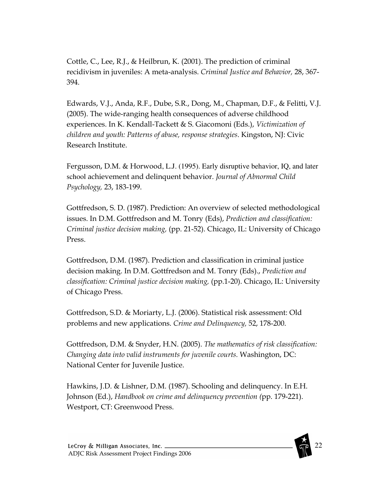Cottle, C., Lee, R.J., & Heilbrun, K. (2001). The prediction of criminal recidivism in juveniles: A meta-analysis. Criminal Justice and Behavior, 28, 367- 394.

Edwards, V.J., Anda, R.F., Dube, S.R., Dong, M., Chapman, D.F., & Felitti, V.J. (2005). The wide-ranging health consequences of adverse childhood experiences. In K. Kendall-Tackett & S. Giacomoni (Eds.), Victimization of children and youth: Patterns of abuse, response strategies. Kingston, NJ: Civic Research Institute.

Fergusson, D.M. & Horwood, L.J. (1995). Early disruptive behavior, IQ, and later school achievement and delinquent behavior. Journal of Abnormal Child Psychology, 23, 183-199.

Gottfredson, S. D. (1987). Prediction: An overview of selected methodological issues. In D.M. Gottfredson and M. Tonry (Eds), Prediction and classification: Criminal justice decision making, (pp. 21-52). Chicago, IL: University of Chicago Press.

Gottfredson, D.M. (1987). Prediction and classification in criminal justice decision making. In D.M. Gottfredson and M. Tonry (Eds)., Prediction and classification: Criminal justice decision making, (pp.1-20). Chicago, IL: University of Chicago Press.

Gottfredson, S.D. & Moriarty, L.J. (2006). Statistical risk assessment: Old problems and new applications. Crime and Delinquency, 52, 178-200.

Gottfredson, D.M. & Snyder, H.N. (2005). The mathematics of risk classification: Changing data into valid instruments for juvenile courts. Washington, DC: National Center for Juvenile Justice.

Hawkins, J.D. & Lishner, D.M. (1987). Schooling and delinquency. In E.H. Johnson (Ed.), Handbook on crime and delinquency prevention (pp. 179-221). Westport, CT: Greenwood Press.

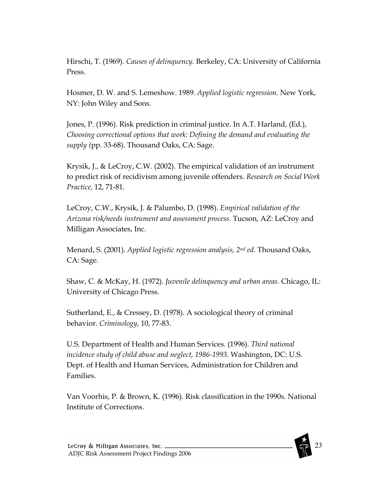Hirschi, T. (1969). Causes of delinquency. Berkeley, CA: University of California Press.

Hosmer, D. W. and S. Lemeshow. 1989. Applied logistic regression. New York, NY: John Wiley and Sons.

Jones, P. (1996). Risk prediction in criminal justice. In A.T. Harland, (Ed.), Choosing correctional options that work: Defining the demand and evaluating the supply (pp. 33-68). Thousand Oaks, CA: Sage.

Krysik, J., & LeCroy, C.W. (2002). The empirical validation of an instrument to predict risk of recidivism among juvenile offenders. Research on Social Work Practice, 12, 71-81.

LeCroy, C.W., Krysik, J. & Palumbo, D. (1998). Empirical validation of the Arizona risk/needs instrument and assessment process. Tucson, AZ: LeCroy and Milligan Associates, Inc.

Menard, S. (2001). Applied logistic regression analysis, 2nd ed. Thousand Oaks, CA: Sage.

Shaw, C. & McKay, H. (1972). Juvenile delinquency and urban areas. Chicago, IL: University of Chicago Press.

Sutherland, E., & Cressey, D. (1978). A sociological theory of criminal behavior. Criminology, 10, 77-83.

U.S. Department of Health and Human Services. (1996). Third national incidence study of child abuse and neglect, 1986-1993. Washington, DC: U.S. Dept. of Health and Human Services, Administration for Children and Families.

Van Voorhis, P. & Brown, K. (1996). Risk classification in the 1990s. National Institute of Corrections.